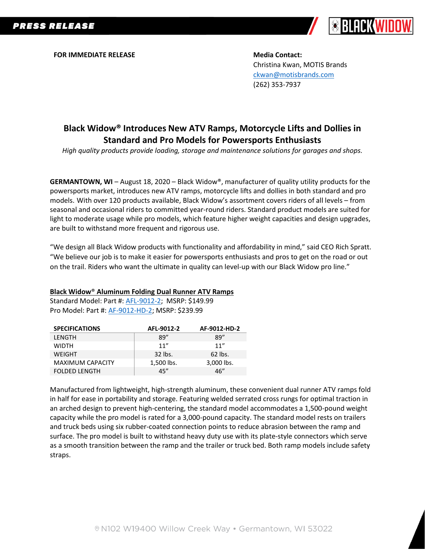

**FOR IMMEDIATE RELEASE Media Contact:**

Christina Kwan, MOTIS Brands [ckwan@motisbrands.com](mailto:ckwan@motisbrands.com) (262) 353-7937

# **Black Widow® Introduces New ATV Ramps, Motorcycle Lifts and Dollies in Standard and Pro Models for Powersports Enthusiasts**

*High quality products provide loading, storage and maintenance solutions for garages and shops.*

**GERMANTOWN, WI** – August 18, 2020 – Black Widow®, manufacturer of quality utility products for the powersports market, introduces new ATV ramps, motorcycle lifts and dollies in both standard and pro models. With over 120 products available, Black Widow's assortment covers riders of all levels – from seasonal and occasional riders to committed year-round riders. Standard product models are suited for light to moderate usage while pro models, which feature higher weight capacities and design upgrades, are built to withstand more frequent and rigorous use.

"We design all Black Widow products with functionality and affordability in mind," said CEO Rich Spratt. "We believe our job is to make it easier for powersports enthusiasts and pros to get on the road or out on the trail. Riders who want the ultimate in quality can level-up with our Black Widow pro line."

#### **Black Widow**® **Aluminum Folding Dual Runner ATV Ramps**

Standard Model: Part #: [AFL-9012-2;](https://www.blackwidowpro.com/atv/ramps/folding/p/afl-9012-2/) MSRP: \$149.99 Pro Model: Part #: [AF-9012-HD-2;](https://www.blackwidowpro.com/atv/ramps/folding/p/af-9012-hd-2/) MSRP: \$239.99

| <b>SPECIFICATIONS</b>   | AFL-9012-2 | AF-9012-HD-2 |
|-------------------------|------------|--------------|
| LENGTH                  | 89"        | 89"          |
| <b>WIDTH</b>            | 11''       | 11''         |
| <b>WEIGHT</b>           | 32 lbs.    | $62$ lbs.    |
| <b>MAXIMUM CAPACITY</b> | 1,500 lbs. | 3,000 lbs.   |
| <b>FOLDED LENGTH</b>    | 45"        | 46"          |

Manufactured from lightweight, high-strength aluminum, these convenient dual runner ATV ramps fold in half for ease in portability and storage. Featuring welded serrated cross rungs for optimal traction in an arched design to prevent high-centering, the standard model accommodates a 1,500-pound weight capacity while the pro model is rated for a 3,000-pound capacity. The standard model rests on trailers and truck beds using six rubber-coated connection points to reduce abrasion between the ramp and surface. The pro model is built to withstand heavy duty use with its plate-style connectors which serve as a smooth transition between the ramp and the trailer or truck bed. Both ramp models include safety straps.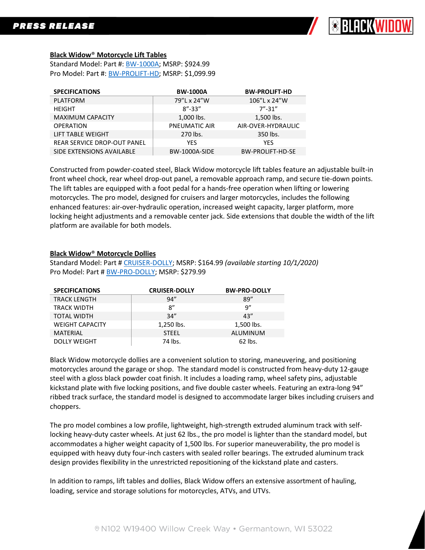

### **Black Widow**® **Motorcycle Lift Tables**

Standard Model: Part #: [BW-1000A;](https://www.blackwidowpro.com/motorcycle/lifts/p/bw-1000a/) MSRP: \$924.99 Pro Model: Part #: [BW-PROLIFT-HD;](https://www.blackwidowpro.com/motorcycle/lifts/p/bw-prolift-hd/) MSRP: \$1,099.99

| <b>SPECIFICATIONS</b>              | <b>BW-1000A</b>      | <b>BW-PROLIFT-HD</b>    |
|------------------------------------|----------------------|-------------------------|
| <b>PLATFORM</b>                    | 79"L x 24"W          | 106"L x 24"W            |
| <b>HEIGHT</b>                      | $8'' - 33''$         | $7''-31''$              |
| <b>MAXIMUM CAPACITY</b>            | 1,000 lbs.           | 1,500 lbs.              |
| <b>OPERATION</b>                   | <b>PNEUMATIC AIR</b> | AIR-OVER-HYDRAULIC      |
| LIFT TABLE WEIGHT                  | 270 lbs.             | 350 lbs.                |
| <b>REAR SERVICE DROP-OUT PANEL</b> | <b>YES</b>           | <b>YES</b>              |
| SIDE EXTENSIONS AVAILABLE          | <b>BW-1000A-SIDE</b> | <b>BW-PROLIFT-HD-SE</b> |

Constructed from powder-coated steel, Black Widow motorcycle lift tables feature an adjustable built-in front wheel chock, rear wheel drop-out panel, a removable approach ramp, and secure tie-down points. The lift tables are equipped with a foot pedal for a hands-free operation when lifting or lowering motorcycles. The pro model, designed for cruisers and larger motorcycles, includes the following enhanced features: air-over-hydraulic operation, increased weight capacity, larger platform, more locking height adjustments and a removable center jack. Side extensions that double the width of the lift platform are available for both models.

#### **Black Widow**® **Motorcycle Dollies**

Standard Model: Part # [CRUISER-DOLLY;](https://www.blackwidowpro.com/motorcycle/dollies/p/cruiser-dolly/) MSRP: \$164.99 *(available starting 10/1/2020)* Pro Model: Part # [BW-PRO-DOLLY;](https://www.blackwidowpro.com/motorcycle/dollies/p/bw-pro-dolly/) MSRP: \$279.99

| <b>SPECIFICATIONS</b>  | <b>CRUISER-DOLLY</b> | <b>BW-PRO-DOLLY</b> |
|------------------------|----------------------|---------------------|
| <b>TRACK LENGTH</b>    | 94''                 | 89''                |
| <b>TRACK WIDTH</b>     | 8''                  | 9"                  |
| <b>TOTAL WIDTH</b>     | 34''                 | 43''                |
| <b>WEIGHT CAPACITY</b> | 1,250 lbs.           | 1,500 lbs.          |
| <b>MATERIAL</b>        | <b>STEEL</b>         | ALUMINUM            |
| <b>DOLLY WEIGHT</b>    | 74 lbs.              | 62 lbs.             |

Black Widow motorcycle dollies are a convenient solution to storing, maneuvering, and positioning motorcycles around the garage or shop. The standard model is constructed from heavy-duty 12-gauge steel with a gloss black powder coat finish. It includes a loading ramp, wheel safety pins, adjustable kickstand plate with five locking positions, and five double caster wheels. Featuring an extra-long 94" ribbed track surface, the standard model is designed to accommodate larger bikes including cruisers and choppers.

The pro model combines a low profile, lightweight, high-strength extruded aluminum track with selflocking heavy-duty caster wheels. At just 62 lbs., the pro model is lighter than the standard model, but accommodates a higher weight capacity of 1,500 lbs. For superior maneuverability, the pro model is equipped with heavy duty four-inch casters with sealed roller bearings. The extruded aluminum track design provides flexibility in the unrestricted repositioning of the kickstand plate and casters.

In addition to ramps, lift tables and dollies, Black Widow offers an extensive assortment of hauling, loading, service and storage solutions for motorcycles, ATVs, and UTVs.